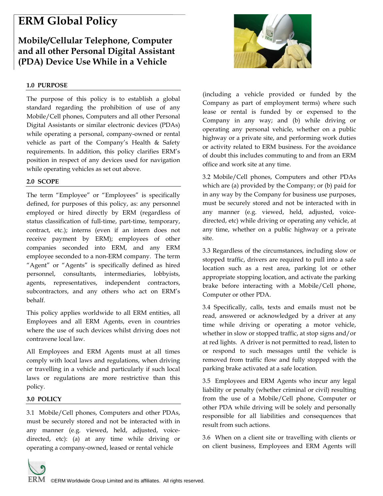# **ERM Global Policy**

## **Mobile/Cellular Telephone, Computer and all other Personal Digital Assistant (PDA) Device Use While in a Vehicle**

### **1.0 PURPOSE**

The purpose of this policy is to establish a global standard regarding the prohibition of use of any Mobile/Cell phones, Computers and all other Personal Digital Assistants or similar electronic devices (PDAs) while operating a personal, company-owned or rental vehicle as part of the Company's Health & Safety requirements. In addition, this policy clarifies ERM's position in respect of any devices used for navigation while operating vehicles as set out above.

#### **2.0 SCOPE**

The term "Employee" or "Employees" is specifically defined, for purposes of this policy, as: any personnel employed or hired directly by ERM (regardless of status classification of full-time, part-time, temporary, contract, etc.); interns (even if an intern does not receive payment by ERM); employees of other companies seconded into ERM, and any ERM employee seconded to a non-ERM company. The term "Agent" or "Agents" is specifically defined as hired personnel, consultants, intermediaries, lobbyists, agents, representatives, independent contractors, subcontractors, and any others who act on ERM's behalf.

This policy applies worldwide to all ERM entities, all Employees and all ERM Agents, even in countries where the use of such devices whilst driving does not contravene local law.

All Employees and ERM Agents must at all times comply with local laws and regulations, when driving or travelling in a vehicle and particularly if such local laws or regulations are more restrictive than this policy.

#### **3.0 POLICY**

3.1 Mobile/Cell phones, Computers and other PDAs, must be securely stored and not be interacted with in any manner (e.g. viewed, held, adjusted, voicedirected, etc): (a) at any time while driving or operating a company-owned, leased or rental vehicle



(including a vehicle provided or funded by the Company as part of employment terms) where such lease or rental is funded by or expensed to the Company in any way; and (b) while driving or operating any personal vehicle, whether on a public highway or a private site, and performing work duties or activity related to ERM business. For the avoidance of doubt this includes commuting to and from an ERM office and work site at any time.

3.2 Mobile/Cell phones, Computers and other PDAs which are (a) provided by the Company; or (b) paid for in any way by the Company for business use purposes, must be securely stored and not be interacted with in any manner (e.g. viewed, held, adjusted, voicedirected, etc) while driving or operating any vehicle, at any time, whether on a public highway or a private site.

3.3 Regardless of the circumstances, including slow or stopped traffic, drivers are required to pull into a safe location such as a rest area, parking lot or other appropriate stopping location, and activate the parking brake before interacting with a Mobile/Cell phone, Computer or other PDA.

3.4 Specifically, calls, texts and emails must not be read, answered or acknowledged by a driver at any time while driving or operating a motor vehicle, whether in slow or stopped traffic, at stop signs and/or at red lights. A driver is not permitted to read, listen to or respond to such messages until the vehicle is removed from traffic flow and fully stopped with the parking brake activated at a safe location.

3.5 Employees and ERM Agents who incur any legal liability or penalty (whether criminal or civil) resulting from the use of a Mobile/Cell phone, Computer or other PDA while driving will be solely and personally responsible for all liabilities and consequences that result from such actions.

3.6 When on a client site or travelling with clients or on client business, Employees and ERM Agents will